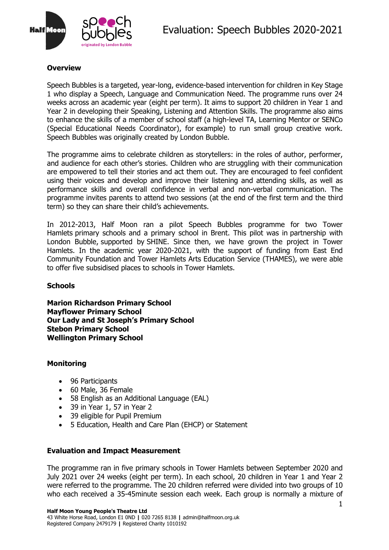

# **Overview**

Speech Bubbles is a targeted, year-long, evidence-based intervention for children in Key Stage 1 who display a Speech, Language and Communication Need. The programme runs over 24 weeks across an academic year (eight per term). It aims to support 20 children in Year 1 and Year 2 in developing their Speaking, Listening and Attention Skills. The programme also aims to enhance the skills of a member of school staff (a high-level TA, Learning Mentor or SENCo (Special Educational Needs Coordinator), for example) to run small group creative work. Speech Bubbles was originally created by [London Bubble.](http://www.londonbubble.org.uk/)

The programme aims to celebrate children as storytellers: in the roles of author, performer, and audience for each other's stories. Children who are struggling with their communication are empowered to tell their stories and act them out. They are encouraged to feel confident using their voices and develop and improve their listening and attending skills, as well as performance skills and overall confidence in verbal and non-verbal communication. The programme invites parents to attend two sessions (at the end of the first term and the third term) so they can share their child's achievements.

In 2012-2013, Half Moon ran a pilot Speech Bubbles programme for two Tower Hamlets primary schools and a primary school in Brent. This pilot was in partnership with London Bubble, supported by [SHINE.](http://www.shinetrust.org.uk/) Since then, we have grown the project in Tower Hamlets. In the academic year 2020-2021, with the support of funding from East End Community Foundation and Tower Hamlets Arts Education Service (THAMES), we were able to offer five subsidised places to schools in Tower Hamlets.

# **Schools**

**Marion Richardson Primary School Mayflower Primary School Our Lady and St Joseph's Primary School Stebon Primary School Wellington Primary School**

# **Monitoring**

- 96 Participants
- 60 Male, 36 Female
- 58 English as an Additional Language (EAL)
- 39 in Year 1, 57 in Year 2
- 39 eligible for Pupil Premium
- 5 Education, Health and Care Plan (EHCP) or Statement

#### **Evaluation and Impact Measurement**

The programme ran in five primary schools in Tower Hamlets between September 2020 and July 2021 over 24 weeks (eight per term). In each school, 20 children in Year 1 and Year 2 were referred to the programme. The 20 children referred were divided into two groups of 10 who each received a 35-45minute session each week. Each group is normally a mixture of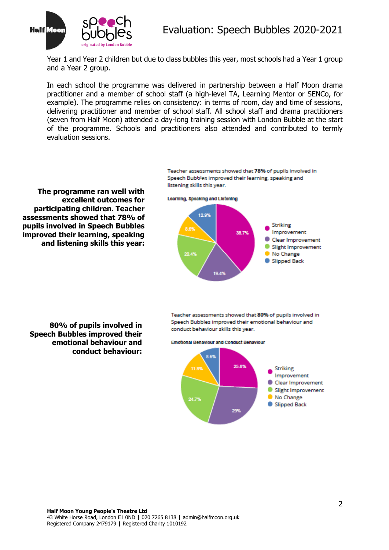

Year 1 and Year 2 children but due to class bubbles this year, most schools had a Year 1 group and a Year 2 group.

In each school the programme was delivered in partnership between a Half Moon drama practitioner and a member of school staff (a high-level TA, Learning Mentor or SENCo, for example). The programme relies on consistency: in terms of room, day and time of sessions, delivering practitioner and member of school staff. All school staff and drama practitioners (seven from Half Moon) attended a day-long training session with London Bubble at the start of the programme. Schools and practitioners also attended and contributed to termly evaluation sessions.

**The programme ran well with excellent outcomes for participating children. Teacher assessments showed that 78% of pupils involved in Speech Bubbles improved their learning, speaking and listening skills this year:**

**80% of pupils involved in** 

**emotional behaviour and** 

**conduct behaviour:** 

**Speech Bubbles improved their** 

Teacher assessments showed that 78% of pupils involved in Speech Bubbles improved their learning, speaking and<br>listening skills this year.



Teacher assessments showed that 80% of pupils involved in Speech Bubbles improved their emotional behaviour and conduct behaviour skills this year.

**Emotional Behaviour and Conduct Behaviour** 

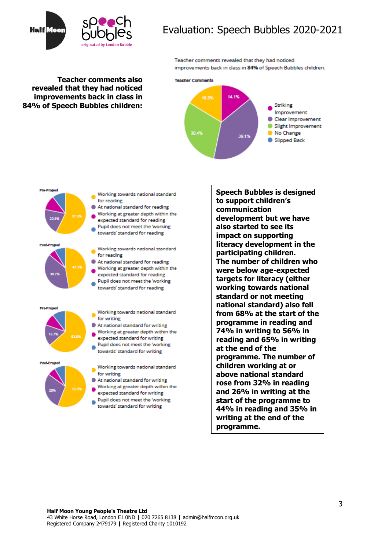

# Evaluation: Speech Bubbles 2020-2021

Teacher comments revealed that they had noticed improvements back in class in 84% of Speech Bubbles children.

#### **Teacher comments also revealed that they had noticed improvements back in class in 84% of Speech Bubbles children:**

Pre-Project





Working towards national standard

- At national standard for reading
- expected standard for reading Pupil does not meet the 'working'
- towards' standard for reading
- Working towards national standard
- At national standard for reading Working at greater depth within the
- expected standard for reading Pupil does not meet the 'working
- Working towards national standard
- At national standard for writing Working at greater depth within the
- expected standard for writing Pupil does not meet the 'working
- towards' standard for writing
- Working towards national standard At national standard for writing
	- Working at greater depth within the expected standard for writing
- Pupil does not meet the 'working towards' standard for writing

**Speech Bubbles is designed to support children's communication development but we have also started to see its impact on supporting literacy development in the participating children. The number of children who were below age-expected targets for literacy (either working towards national standard or not meeting national standard) also fell from 68% at the start of the programme in reading and 74% in writing to 56% in reading and 65% in writing at the end of the programme. The number of children working at or above national standard rose from 32% in reading and 26% in writing at the start of the programme to 44% in reading and 35% in writing at the end of the programme.**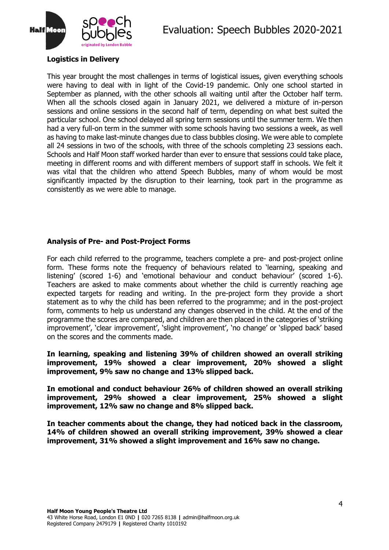

# **Logistics in Delivery**

This year brought the most challenges in terms of logistical issues, given everything schools were having to deal with in light of the Covid-19 pandemic. Only one school started in September as planned, with the other schools all waiting until after the October half term. When all the schools closed again in January 2021, we delivered a mixture of in-person sessions and online sessions in the second half of term, depending on what best suited the particular school. One school delayed all spring term sessions until the summer term. We then had a very full-on term in the summer with some schools having two sessions a week, as well as having to make last-minute changes due to class bubbles closing. We were able to complete all 24 sessions in two of the schools, with three of the schools completing 23 sessions each. Schools and Half Moon staff worked harder than ever to ensure that sessions could take place, meeting in different rooms and with different members of support staff in schools. We felt it was vital that the children who attend Speech Bubbles, many of whom would be most significantly impacted by the disruption to their learning, took part in the programme as consistently as we were able to manage.

# **Analysis of Pre- and Post-Project Forms**

For each child referred to the programme, teachers complete a pre- and post-project online form. These forms note the frequency of behaviours related to 'learning, speaking and listening' (scored 1-6) and 'emotional behaviour and conduct behaviour' (scored 1-6). Teachers are asked to make comments about whether the child is currently reaching age expected targets for reading and writing. In the pre-project form they provide a short statement as to why the child has been referred to the programme; and in the post-project form, comments to help us understand any changes observed in the child. At the end of the programme the scores are compared, and children are then placed in the categories of 'striking improvement', 'clear improvement', 'slight improvement', 'no change' or 'slipped back' based on the scores and the comments made.

**In learning, speaking and listening 39% of children showed an overall striking improvement, 19% showed a clear improvement, 20% showed a slight improvement, 9% saw no change and 13% slipped back.**

**In emotional and conduct behaviour 26% of children showed an overall striking improvement, 29% showed a clear improvement, 25% showed a slight improvement, 12% saw no change and 8% slipped back.**

**In teacher comments about the change, they had noticed back in the classroom, 14% of children showed an overall striking improvement, 39% showed a clear improvement, 31% showed a slight improvement and 16% saw no change.**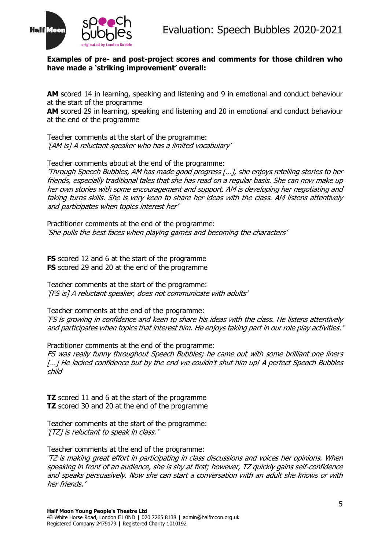

#### **Examples of pre- and post-project scores and comments for those children who have made a 'striking improvement' overall:**

AM scored 14 in learning, speaking and listening and 9 in emotional and conduct behaviour at the start of the programme

**AM** scored 29 in learning, speaking and listening and 20 in emotional and conduct behaviour at the end of the programme

Teacher comments at the start of the programme: '[AM is] A reluctant speaker who has a limited vocabulary'

Teacher comments about at the end of the programme:

'Through Speech Bubbles, AM has made good progress […], she enjoys retelling stories to her friends, especially traditional tales that she has read on a regular basis. She can now make up her own stories with some encouragement and support. AM is developing her negotiating and taking turns skills. She is very keen to share her ideas with the class. AM listens attentively and participates when topics interest her'

Practitioner comments at the end of the programme: 'She pulls the best faces when playing games and becoming the characters'

**FS** scored 12 and 6 at the start of the programme **FS** scored 29 and 20 at the end of the programme

Teacher comments at the start of the programme: '[FS is] A reluctant speaker, does not communicate with adults'

Teacher comments at the end of the programme: 'FS is growing in confidence and keen to share his ideas with the class. He listens attentively and participates when topics that interest him. He enjoys taking part in our role play activities.'

Practitioner comments at the end of the programme:

FS was really funny throughout Speech Bubbles; he came out with some brilliant one liners [...] He lacked confidence but by the end we couldn't shut him up! A perfect Speech Bubbles child

**TZ** scored 11 and 6 at the start of the programme **TZ** scored 30 and 20 at the end of the programme

Teacher comments at the start of the programme: '[TZ] is reluctant to speak in class.'

Teacher comments at the end of the programme:

'TZ is making great effort in participating in class discussions and voices her opinions. When speaking in front of an audience, she is shy at first; however, TZ quickly gains self-confidence and speaks persuasively. Now she can start a conversation with an adult she knows or with her friends.'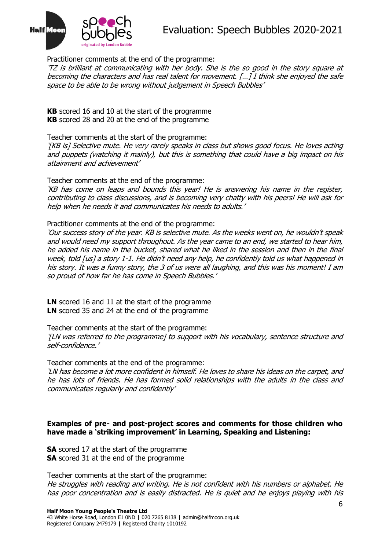

Practitioner comments at the end of the programme:

'TZ is brilliant at communicating with her body. She is the so good in the story square at becoming the characters and has real talent for movement. […] I think she enjoyed the safe space to be able to be wrong without judgement in Speech Bubbles'

**KB** scored 16 and 10 at the start of the programme **KB** scored 28 and 20 at the end of the programme

Teacher comments at the start of the programme: '[KB is] Selective mute. He very rarely speaks in class but shows good focus. He loves acting and puppets (watching it mainly), but this is something that could have a big impact on his attainment and achievement'

Teacher comments at the end of the programme:

'KB has come on leaps and bounds this year! He is answering his name in the register, contributing to class discussions, and is becoming very chatty with his peers! He will ask for help when he needs it and communicates his needs to adults.'

Practitioner comments at the end of the programme:

'Our success story of the year. KB is selective mute. As the weeks went on, he wouldn't speak and would need my support throughout. As the year came to an end, we started to hear him, he added his name in the bucket, shared what he liked in the session and then in the final week, told [us] a story 1-1. He didn't need any help, he confidently told us what happened in his story. It was a funny story, the 3 of us were all laughing, and this was his moment! I am so proud of how far he has come in Speech Bubbles.'

**LN** scored 16 and 11 at the start of the programme **LN** scored 35 and 24 at the end of the programme

Teacher comments at the start of the programme:

'[LN was referred to the programme] to support with his vocabulary, sentence structure and self-confidence.'

Teacher comments at the end of the programme:

'LN has become a lot more confident in himself. He loves to share his ideas on the carpet, and he has lots of friends. He has formed solid relationships with the adults in the class and communicates regularly and confidently'

#### **Examples of pre- and post-project scores and comments for those children who have made a 'striking improvement' in Learning, Speaking and Listening:**

**SA** scored 17 at the start of the programme **SA** scored 31 at the end of the programme

Teacher comments at the start of the programme: He struggles with reading and writing. He is not confident with his numbers or alphabet. He has poor concentration and is easily distracted. He is quiet and he enjoys playing with his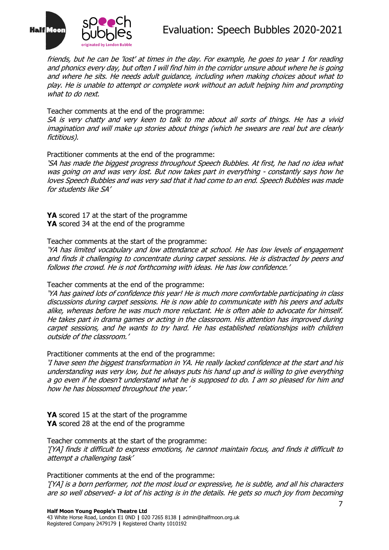

friends, but he can be 'lost' at times in the day. For example, he goes to year 1 for reading and phonics every day, but often I will find him in the corridor unsure about where he is going and where he sits. He needs adult guidance, including when making choices about what to play. He is unable to attempt or complete work without an adult helping him and prompting what to do next.

Teacher comments at the end of the programme:

SA is very chatty and very keen to talk to me about all sorts of things. He has a vivid imagination and will make up stories about things (which he swears are real but are clearly fictitious).

Practitioner comments at the end of the programme:

'SA has made the biggest progress throughout Speech Bubbles. At first, he had no idea what was going on and was very lost. But now takes part in everything - constantly says how he loves Speech Bubbles and was very sad that it had come to an end. Speech Bubbles was made for students like SA'

**YA** scored 17 at the start of the programme **YA** scored 34 at the end of the programme

Teacher comments at the start of the programme:

'YA has limited vocabulary and low attendance at school. He has low levels of engagement and finds it challenging to concentrate during carpet sessions. He is distracted by peers and follows the crowd. He is not forthcoming with ideas. He has low confidence.'

Teacher comments at the end of the programme:

'YA has gained lots of confidence this year! He is much more comfortable participating in class discussions during carpet sessions. He is now able to communicate with his peers and adults alike, whereas before he was much more reluctant. He is often able to advocate for himself. He takes part in drama games or acting in the classroom. His attention has improved during carpet sessions, and he wants to try hard. He has established relationships with children outside of the classroom.'

Practitioner comments at the end of the programme:

'I have seen the biggest transformation in YA. He really lacked confidence at the start and his understanding was very low, but he always puts his hand up and is willing to give everything a go even if he doesn't understand what he is supposed to do. I am so pleased for him and how he has blossomed throughout the year.'

**YA** scored 15 at the start of the programme **YA** scored 28 at the end of the programme

Teacher comments at the start of the programme: '[YA] finds it difficult to express emotions, he cannot maintain focus, and finds it difficult to attempt a challenging task'

Practitioner comments at the end of the programme:

'[YA] is a born performer, not the most loud or expressive, he is subtle, and all his characters are so well observed- a lot of his acting is in the details. He gets so much joy from becoming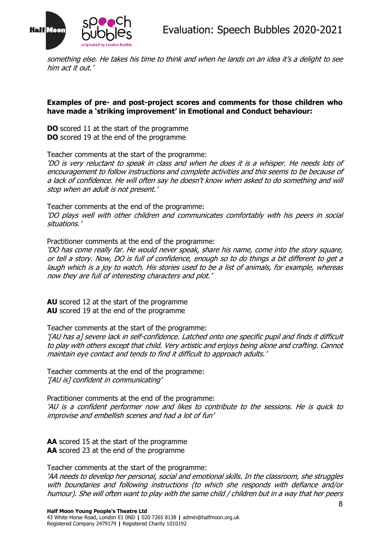



something else. He takes his time to think and when he lands on an idea it's a delight to see him act it out.'

#### **Examples of pre- and post-project scores and comments for those children who have made a 'striking improvement' in Emotional and Conduct behaviour:**

**DO** scored 11 at the start of the programme **DO** scored 19 at the end of the programme

Teacher comments at the start of the programme:

'DO is very reluctant to speak in class and when he does it is a whisper. He needs lots of encouragement to follow instructions and complete activities and this seems to be because of a lack of confidence. He will often say he doesn't know when asked to do something and will stop when an adult is not present.'

Teacher comments at the end of the programme: 'DO plays well with other children and communicates comfortably with his peers in social situations.'

Practitioner comments at the end of the programme:

'DO has come really far. He would never speak, share his name, come into the story square, or tell a story. Now, DO is full of confidence, enough so to do things a bit different to get a laugh which is a joy to watch. His stories used to be a list of animals, for example, whereas now they are full of interesting characters and plot.'

**AU** scored 12 at the start of the programme **AU** scored 19 at the end of the programme

Teacher comments at the start of the programme:

'[AU has a] severe lack in self-confidence. Latched onto one specific pupil and finds it difficult to play with others except that child. Very artistic and enjoys being alone and crafting. Cannot maintain eye contact and tends to find it difficult to approach adults.'

Teacher comments at the end of the programme: '[AU is] confident in communicating'

Practitioner comments at the end of the programme: 'AU is a confident performer now and likes to contribute to the sessions. He is quick to improvise and embellish scenes and had a lot of fun'

**AA** scored 15 at the start of the programme **AA** scored 23 at the end of the programme

Teacher comments at the start of the programme:

'AA needs to develop her personal, social and emotional skills. In the classroom, she struggles with boundaries and following instructions (to which she responds with defiance and/or humour). She will often want to play with the same child / children but in a way that her peers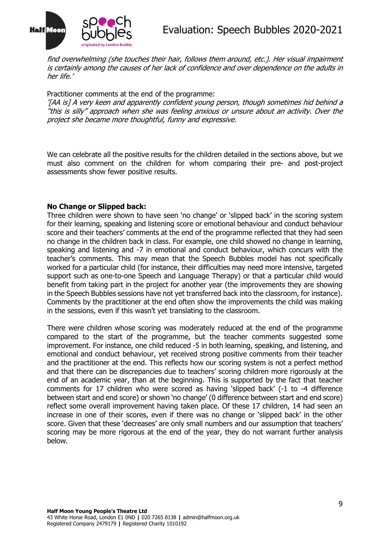

find overwhelming (she touches their hair, follows them around, etc.). Her visual impairment is certainly among the causes of her lack of confidence and over dependence on the adults in her life.'

Practitioner comments at the end of the programme:

'[AA is] A very keen and apparently confident young person, though sometimes hid behind a "this is silly" approach when she was feeling anxious or unsure about an activity. Over the project she became more thoughtful, funny and expressive.

We can celebrate all the positive results for the children detailed in the sections above, but we must also comment on the children for whom comparing their pre- and post-project assessments show fewer positive results.

# **No Change or Slipped back:**

Three children were shown to have seen 'no change' or 'slipped back' in the scoring system for their learning, speaking and listening score or emotional behaviour and conduct behaviour score and their teachers' comments at the end of the programme reflected that they had seen no change in the children back in class. For example, one child showed no change in learning, speaking and listening and -7 in emotional and conduct behaviour, which concurs with the teacher's comments. This may mean that the Speech Bubbles model has not specifically worked for a particular child (for instance, their difficulties may need more intensive, targeted support such as one-to-one Speech and Language Therapy) or that a particular child would benefit from taking part in the project for another year (the improvements they are showing in the Speech Bubbles sessions have not yet transferred back into the classroom, for instance). Comments by the practitioner at the end often show the improvements the child was making in the sessions, even if this wasn't yet translating to the classroom.

There were children whose scoring was moderately reduced at the end of the programme compared to the start of the programme, but the teacher comments suggested some improvement. For instance, one child reduced -5 in both learning, speaking, and listening, and emotional and conduct behaviour, yet received strong positive comments from their teacher and the practitioner at the end. This reflects how our scoring system is not a perfect method and that there can be discrepancies due to teachers' scoring children more rigorously at the end of an academic year, than at the beginning. This is supported by the fact that teacher comments for 17 children who were scored as having 'slipped back' (-1 to -4 difference between start and end score) or shown 'no change' (0 difference between start and end score) reflect some overall improvement having taken place. Of these 17 children, 14 had seen an increase in one of their scores, even if there was no change or 'slipped back' in the other score. Given that these 'decreases' are only small numbers and our assumption that teachers' scoring may be more rigorous at the end of the year, they do not warrant further analysis below.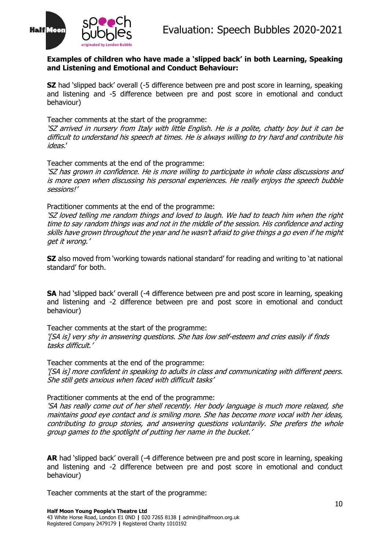

#### **Examples of children who have made a 'slipped back' in both Learning, Speaking and Listening and Emotional and Conduct Behaviour:**

**SZ** had 'slipped back' overall (-5 difference between pre and post score in learning, speaking and listening and -5 difference between pre and post score in emotional and conduct behaviour)

Teacher comments at the start of the programme:

'SZ arrived in nursery from Italy with little English. He is a polite, chatty boy but it can be difficult to understand his speech at times. He is always willing to try hard and contribute his ideas.'

Teacher comments at the end of the programme:

'SZ has grown in confidence. He is more willing to participate in whole class discussions and is more open when discussing his personal experiences. He really enjoys the speech bubble sessions!'

Practitioner comments at the end of the programme:

'SZ loved telling me random things and loved to laugh. We had to teach him when the right time to say random things was and not in the middle of the session. His confidence and acting skills have grown throughout the year and he wasn't afraid to give things a go even if he might get it wrong.'

**SZ** also moved from 'working towards national standard' for reading and writing to 'at national standard' for both.

**SA** had 'slipped back' overall (-4 difference between pre and post score in learning, speaking and listening and -2 difference between pre and post score in emotional and conduct behaviour)

Teacher comments at the start of the programme: '[SA is] very shy in answering questions. She has low self-esteem and cries easily if finds tasks difficult.'

Teacher comments at the end of the programme: '[SA is] more confident in speaking to adults in class and communicating with different peers. She still gets anxious when faced with difficult tasks'

Practitioner comments at the end of the programme:

'SA has really come out of her shell recently. Her body language is much more relaxed, she maintains good eye contact and is smiling more. She has become more vocal with her ideas, contributing to group stories, and answering questions voluntarily. She prefers the whole group games to the spotlight of putting her name in the bucket.'

**AR** had 'slipped back' overall (-4 difference between pre and post score in learning, speaking and listening and -2 difference between pre and post score in emotional and conduct behaviour)

Teacher comments at the start of the programme: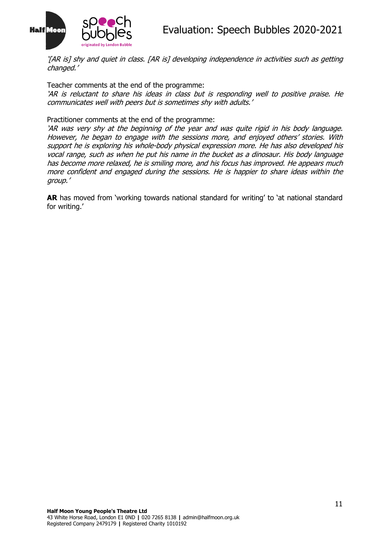

'[AR is] shy and quiet in class. [AR is] developing independence in activities such as getting changed.'

Teacher comments at the end of the programme:

'AR is reluctant to share his ideas in class but is responding well to positive praise. He communicates well with peers but is sometimes shy with adults.'

Practitioner comments at the end of the programme:

'AR was very shy at the beginning of the year and was quite rigid in his body language. However, he began to engage with the sessions more, and enjoyed others' stories. With support he is exploring his whole-body physical expression more. He has also developed his vocal range, such as when he put his name in the bucket as a dinosaur. His body language has become more relaxed, he is smiling more, and his focus has improved. He appears much more confident and engaged during the sessions. He is happier to share ideas within the group.'

AR has moved from 'working towards national standard for writing' to 'at national standard for writing.'